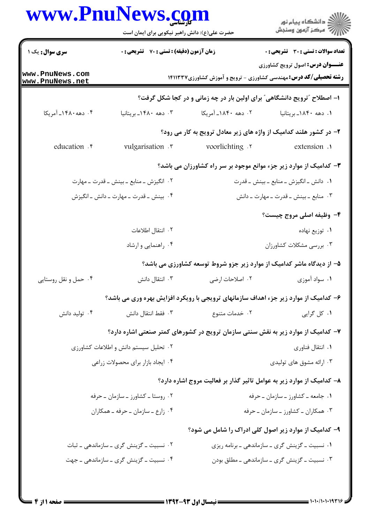## www.PnuNews.com

| www.PnuNews.com                             | حضرت علی(ع): دانش راهبر نیکویی برای ایمان است                                        |                                                | ِ<br>∭ دانشڪاه پيام نور<br>∭ مرڪز آزمون وسنڊش                                                                       |
|---------------------------------------------|--------------------------------------------------------------------------------------|------------------------------------------------|---------------------------------------------------------------------------------------------------------------------|
| <b>سری سوال :</b> یک ۱                      | <b>زمان آزمون (دقیقه) : تستی : 70 ٪ تشریحی : 0</b>                                   |                                                | <b>تعداد سوالات : تستی : 30 ٪ تشریحی : 0</b>                                                                        |
| ww.PnuNews.com<br>ww.PnuNews.net            |                                                                                      |                                                | <b>عنـــوان درس:</b> اصول ترویج کشاورزی<br><b>رشته تحصیلی/کد درس:</b> مهندسی کشاورزی - ترویج و آموزش کشاورزی14۱۱۳۳۷ |
|                                             |                                                                                      |                                                | ۱- اصطلاح "ترویج دانشگاهی" برای اولین بار در چه زمانی و در کجا شکل گرفت؟                                            |
| ۰۴ دهه ۱۴۸۰ـ آمریکا                         | ۰۳ دهه ۱۴۸۰ـ بریتانیا                                                                | ۰۲ دهه ۱۸۴۰ـ آمریکا                            | ۰۱ دهه ۱۸۴۰ـ بریتانیا                                                                                               |
|                                             |                                                                                      |                                                | ۲- در کشور هلند کدامیک از واژه های زیر معادل ترویج به کار می رود؟                                                   |
| education . r                               | vulgarisation .                                                                      | voorlichting .r                                | extension .                                                                                                         |
|                                             |                                                                                      |                                                | ۳- کدامیک از موارد زیر جزء موانع موجود بر سر راه کشاورزان می باشد؟                                                  |
| ۰۲ انگیزش ــ منابع ــ بینش ــ قدرت ــ مهارت |                                                                                      | ۰۱ دانش ـ انگیزش ـ منابع ـ بینش ـ قدرت         |                                                                                                                     |
|                                             | ۰۴ بینش ـ قدرت ـ مهارت ـ دانش ـ انگیزش                                               |                                                | ۰۳ منابع ـ بينش ـ قدرت ـ مهارت ـ دانش                                                                               |
|                                             |                                                                                      |                                                | ۴- وظیفه اصلی مروج چیست؟                                                                                            |
|                                             | ٢. انتقال اطلاعات                                                                    |                                                | ٠١ توزيع نهاده                                                                                                      |
|                                             | ۰۴ راهنمایی و ارشاد                                                                  |                                                | ۰۳ بررسی مشکلات کشاورزان                                                                                            |
|                                             |                                                                                      |                                                | ۵– از دیدگاه ماشر کدامیک از موارد زیر جزو شروط توسعه کشاورزی می باشد؟                                               |
| ۰۴ حمل و نقل روستایی                        | ۰۳ انتقال دانش                                                                       |                                                |                                                                                                                     |
|                                             | ۶- کدامیک از موارد زیر جزء اهداف سازمانهای ترویجی با رویکرد افزایش بهره وری می باشد؟ |                                                |                                                                                                                     |
| ۰۴ تولید دانش                               | ۰۳ فقط انتقال دانش                                                                   | ۰۲ خدمات متنوع                                 | ۰۱ کل گرایی                                                                                                         |
|                                             | ۷– کدامیک از موارد زیر به نقش سنتی سازمان ترویج در کشورهای کمتر صنعتی اشاره دارد؟    |                                                |                                                                                                                     |
| ۰۲ تحلیل سیستم دانش و اطلاعات کشاورزی       |                                                                                      | ٠١. انتقال فناوري                              |                                                                                                                     |
| ۰۴ ایجاد بازار برای محصولات زراعی           |                                                                                      | ۰۳ ارائه مشوق های تولیدی                       |                                                                                                                     |
|                                             |                                                                                      |                                                | ۸– کدامیک از موارد زیر به عوامل تاثیر گذار بر فعالیت مروج اشاره دارد؟                                               |
| ۰۲ روستا ـ کشاورز ـ سازمان ـ حرفه           |                                                                                      | ۰۱ جامعه ـ کشاورز ـ سازمان ـ حرفه              |                                                                                                                     |
| ۰۴ زارع ـ سازمان ـ حرفه ـ همكاران           |                                                                                      | ۰۳ همکاران ــ کشاورز ــ سازمان ــ حرفه         |                                                                                                                     |
|                                             |                                                                                      |                                                | ۹- کدامیک از موارد زیر اصول کلی ادراک را شامل می شود؟                                                               |
| ۰۲ نسبیت ــ گزینش گری ــ سازماندهی ــ ثبات  |                                                                                      | ۰۱ نسبیت ـ گزینش گری ـ سازماندهی ـ برنامه ریزی |                                                                                                                     |
|                                             | ۰۴ نسبیت ــ گزینش گری ــ سازماندهی ــ جهت                                            |                                                | ۰۳ نسبیت ــ گزینش گری ــ سازماندهی ــ مطلق بودن                                                                     |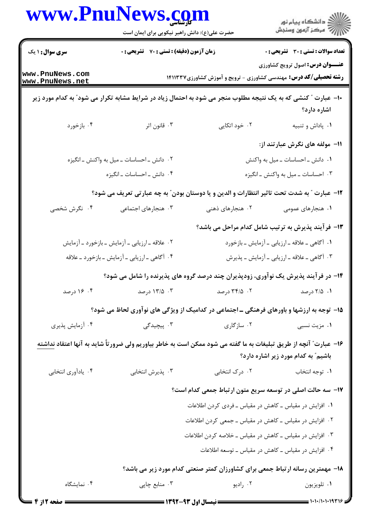|                                    | www.PnuNews.com<br>حضرت علی(ع): دانش راهبر نیکویی برای ایمان است                                                         |                                                                               | ر<br>پر دانشگاه پيام نور<br>پر مرکز آزمون وسنجش                                                                    |  |
|------------------------------------|--------------------------------------------------------------------------------------------------------------------------|-------------------------------------------------------------------------------|--------------------------------------------------------------------------------------------------------------------|--|
| <b>سری سوال : ۱ ی</b> ک            | زمان آزمون (دقیقه) : تستی : 70 گتشریحی : 0                                                                               |                                                                               | تعداد سوالات : تستى : 30 ٪ تشريحي : 0                                                                              |  |
| www.PnuNews.com<br>www.PnuNews.net |                                                                                                                          |                                                                               | <b>عنــوان درس:</b> اصول ترویج کشاورزی<br><b>رشته تحصیلی/کد درس:</b> مهندسی کشاورزی - ترویج و آموزش کشاورزی14۱۱۳۳۷ |  |
|                                    | ∙ا− عبارت ″ کنشی که به یک نتیجه مطلوب منجر می شود به احتمال زیاد در شرایط مشابه تکرار می شود″ به کدام مورد زیر           |                                                                               | اشاره دارد؟                                                                                                        |  |
| ۰۴ بازخورد                         | ۰۳ قانون اثر                                                                                                             | ۰۲ خود اتکایی                                                                 | ۰۱ پاداش و تنبیه                                                                                                   |  |
|                                    |                                                                                                                          |                                                                               | <b>۱۱</b> - مولفه های نگرش عبارتند از:                                                                             |  |
|                                    | ۰۲ دانش ـ احساسات ــ میل به واکنش ــ انگیزه                                                                              |                                                                               | ۰۱ دانش ـ احساسات ـ میل به واکنش                                                                                   |  |
|                                    | ۰۴ دانش ـ احساسات ـ انگیزه                                                                                               |                                                                               | ۰۳ احساسات ــ میل به واکنش ــ انگیزه                                                                               |  |
|                                    | 12- عبارت ″ به شدت تحت تاثير انتظارات و الدين و يا دوستان بودن″ به چه عبارتي تعريف مي شود؟                               |                                                                               |                                                                                                                    |  |
| ۰۴ نگرش شخصی                       | ۰۳ هنجارهای اجتماعی                                                                                                      | ۰۲ هنجارهای ذهنی                                                              | ۰۱ هنجارهای عمومی                                                                                                  |  |
|                                    |                                                                                                                          | ۱۳- فرآیند پذیرش به ترتیب شامل کدام مراحل می باشد؟                            |                                                                                                                    |  |
|                                    | ۰۲ علاقه ـ ارزیابی ـ آزمایش ـ بازخورد ـ آزمایش                                                                           |                                                                               | ۰۱ آگاهی ـ علاقه ـ ارزيابي ـ آزمايش ـ بازخورد                                                                      |  |
|                                    | ۰۴ آگاهی ـ ارزیابی ـ آزمایش ـ بازخورد ـ علاقه                                                                            |                                                                               | ۰۳ آگاهی ـ علاقه ـ ارزیابی ـ آزمایش ـ پذیرش                                                                        |  |
|                                    | ۱۴- در فرآیند پذیرش یک نوآوری، زودپذیران چند درصد گروه های پذیرنده را شامل می شود؟                                       |                                                                               |                                                                                                                    |  |
| ۰۴ درصد                            | ۰۳ - ۱۳/۵ درصد                                                                                                           | ۰۲ درصد                                                                       | ۰۱ ۲/۵ درصد                                                                                                        |  |
|                                    | ۱۵- توجه به ارزشها و باورهای فرهنگی ـ اجتماعی در کدامیک از ویژگی های نوآوری لحاظ می شود؟                                 |                                                                               |                                                                                                                    |  |
| ۰۴ آزمایش پذیری                    | ۰۳ پیچیدگ <i>ی</i>                                                                                                       | ۰۲ سازگاری                                                                    | ۰۱ مزیت نسبی                                                                                                       |  |
|                                    | ۱۶– عبارت" آنچه از طریق تبلیغات به ما گفته می شود ممکن است به خاطر بیاوریم ولی ضرورتاً شاید به آنها اعتقاد <u>نداشته</u> |                                                                               | باشیم ؒ به کدام مورد زیر اشاره دارد؟                                                                               |  |
| ۰۴ يادأوري انتخابي                 | ۰۳ پذیرش انتخابی                                                                                                         | ۰۲ درک انتخابی                                                                | ٠١. توجه انتخاب                                                                                                    |  |
|                                    |                                                                                                                          | ۱۷– سه حالت اصلی در توسعه سریع متون ارتباط جمعی کدام است؟                     |                                                                                                                    |  |
|                                    |                                                                                                                          | ۰۱ افزایش در مقیاس ــ کاهش در مقیاس ــ فردی کردن اطلاعات                      |                                                                                                                    |  |
|                                    |                                                                                                                          | ۰۲ افزایش در مقیاس ــ کاهش در مقیاس ــ جمعی کردن اطلاعات                      |                                                                                                                    |  |
|                                    |                                                                                                                          | ۰۳ افزایش در مقیاس ــ کاهش در مقیاس ــ خلاصه کردن اطلاعات                     |                                                                                                                    |  |
|                                    |                                                                                                                          | ۰۴ افزایش در مقیاس ــ کاهش در مقیاس ــ توسعه اطلاعات                          |                                                                                                                    |  |
|                                    |                                                                                                                          | ۱۸- مهمترین رسانه ارتباط جمعی برای کشاورزان کمتر صنعتی کدام مورد زیر می باشد؟ |                                                                                                                    |  |
| ۰۴ نمایشگاه                        | ۰۳ منابع چاپی                                                                                                            | ۰۲ راديو                                                                      | ۰۱ تلويزيون                                                                                                        |  |
| <b>= صفحه 2 از 4</b>               |                                                                                                                          |                                                                               | $\frac{1}{2}$ 1.1./1.1.19319                                                                                       |  |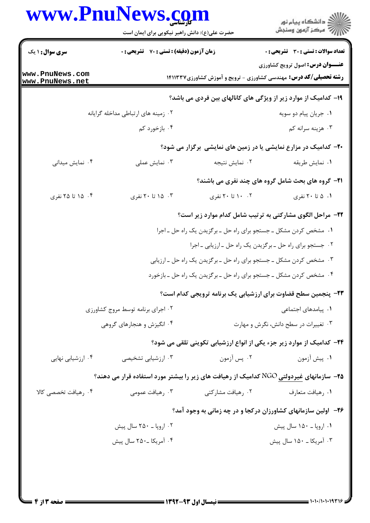| www.PnuNews.com        |                                                  |                                              |
|------------------------|--------------------------------------------------|----------------------------------------------|
|                        | حضرت علی(ع): دانش راهبر نیکویی برای ایمان است    |                                              |
| <b>سری سوال : ۱ یک</b> | <b>زمان آزمون (دقیقه) : تستی : 70 گشریحی : 0</b> | <b>تعداد سوالات : تستی : 30 ٪ تشریحی : 0</b> |

**رشته تحصیلی/کد درس:** مهندسی کشاورزی - ترویج و آموزش کشاورزی14۱۱۳۳۷ 1۹– کدامیک از موارد زیر از ویژگی های کانالهای بین فردی می باشد؟ - 
1I -QK1) @9 [6(1 D -, 4 -۰۲ جریان پیام دو سویه ( ۱**۲ میلادی) به این استفاده به این استفاده به این** استفاده استفاده استفاده استفاده استفاد ۰۴ بازخورد کم ۰۴ هزینه سرانه کم مسافت کمبر است. می شود که بران می شود که بران می شود که بران می شود که بران می شود که بران م<br>تاریخچه بران می شود که بران می شود که بران می شود که بران می شود که بران می شود که بران می شود که بران می شود **۲۰** کدامیک در مزارع نمایشی یا در زمین های نمایشی برگزار می شود؟ ۰۴ نمایش میدانی ۰۳ نمایش عملی W  +
 C - ' . . . . ۰**۱** نمایش طریقه **21- گروه های بحث شامل گروه های چند نفری می باشند؟** Dl d 6 d Dl 6 d Dl 6 Dl 6 d ' . . . . **۲۲**- مراحل الگوی مشارکتی به ترتیب شامل کدام موارد زیر است؟ **[www.PnuNews.com](http://pnunews.com) [www.PnuNews.net](http://pnunews.net)**

1. مشخص کردن مشکل ــ جستجو برای راه حل ــ برگزیدن یک راه حل ــ اجرا ۲. جستجو برای راه حل ــ برگزیدن یک راه حل ــ ارزیابی ــ اجرا ۰۳ مشخص کردن مشکل ــ جستجو برای راه حل ــ برگزیدن یک راه حل ــ ارزیابی ۰۴ مشخص کردن مشکل ــ جستجو برای راه حل ــ برگزیدن یک راه حل ــ بازخورد

**عنـــوان درس:** اصول ترويج كشاورزي

۲۳- پنجمین سطح قضاوت برای ارزشیابی یک برنامه ترویجی کدام است؟ ۰۲ اجرای برنامه توسط مروج کشاورزی ۰**۱** پیامدهای اجتماعی استفاده و استفاده استفاده استفاده بود استفادهای اجتماعی استفاده استفاده استفاده استفاده استفاده ۰۴ انگیزش و هنجارهای گروهی 01 '( 2 = .0 p+1 q^A ( '1 r6 . .

۲۴– کدامیک از موارد زیر جزء یکی از انواع ارزشیابی تکوینی تلقی می شود؟

۰۴ ارزشیابی نهایی B4(1 @V a>6 @ ' . . . . ۰۲ يس آزمون ۰۱ پیش آزمون

7۵– سازمانهای غیردولتی NGO کدامیک از رهیافت های زیر را بیشتر مورد استفاده قرار می دهند؟

۰۴ مسافت تخصصے کالا**)** ۰۳ میافت عمومی ( @?( > ZM ' . . . . رهيافت متعارف مسلم ۲۰ ره

۲۶- اولین سازمانهای کشاورزان درکجا و در چه زمانی به وجود آمد؟

+ \_ : A d \_=(1 + ۰۱ اروپا ــ ۱۵۰ سال پیش ِ هستند است کند از میشود که استان به شود کند استان که استان که در استان که از میشود که + \_ : A d + \_ : A d . .